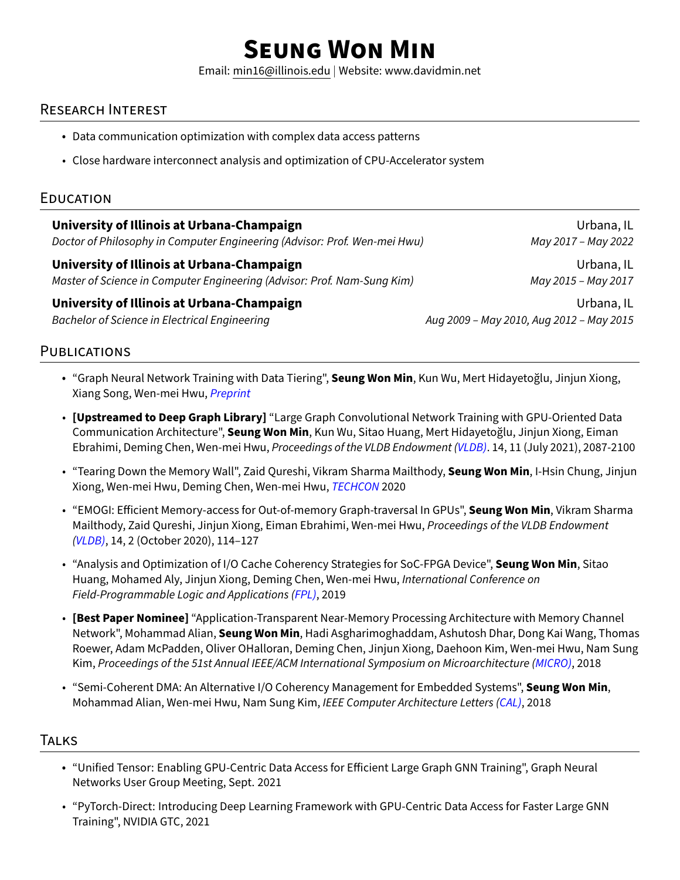# **SEUNG WON MIN**

Email: [min16@illinois.edu](mailto:x@x.com) | Website:<www.davidmin.net>

# RESEARCH INTEREST

- Data communication optimization with complex data access patterns
- Close hardware interconnect analysis and optimization of CPU-Accelerator system

### EDUCATION

| University of Illinois at Urbana-Champaign                                | Urbana, IL                               |
|---------------------------------------------------------------------------|------------------------------------------|
| Doctor of Philosophy in Computer Engineering (Advisor: Prof. Wen-mei Hwu) | May 2017 - May 2022                      |
| University of Illinois at Urbana-Champaign                                | Urbana, IL                               |
| Master of Science in Computer Engineering (Advisor: Prof. Nam-Sung Kim)   | May 2015 - May 2017                      |
| University of Illinois at Urbana-Champaign                                | Urbana, IL                               |
| <b>Bachelor of Science in Electrical Engineering</b>                      | Aug 2009 - May 2010, Aug 2012 - May 2015 |
|                                                                           |                                          |

# **PUBLICATIONS**

- "Graph Neural Network Training with Data Tiering", **Seung Won Min**, Kun Wu, Mert Hidayetoğlu, Jinjun Xiong, Xiang Song, Wen-mei Hwu, Preprint
- **[Upstreamed to Deep Graph Library]** "Large Graph Convolutional Network Training with GPU-Oriented Data Communication Architecture", **Seung Won Min**, Kun Wu, Sitao Huang, Mert Hidayetoğlu, Jinjun Xiong, Eiman Ebrahimi, Deming Chen, Wen-mei Hwu, Proceedings of the VLDB Endowment (VLDB). 14, 11 (July 2021), 2087-2100
- "Tearing Down the Memory Wall", Zaid Qureshi, Vikram Sharma Mailthody, **Seung Won Min**, I-Hsin Chung, Jinjun Xiong, Wen-mei Hwu, Deming Chen, Wen-mei Hwu, TECHCON 2020
- "EMOGI: Efficient Memory-access for Out-of-memory Graph-traversal In GPUs", **Seung Won Min**, Vikram Sharma Mailthody, Zaid Qureshi, Jinjun Xiong, Eiman Ebrahimi, Wen-mei Hwu, Proceedings of the VLDB Endowment (VLDB), 14, 2 (October 2020), 114–127
- "Analysis and Optimization of I/O Cache Coherency Strategies for SoC-FPGA Device", **Seung Won Min**, Sitao Huang, Mohamed Aly, Jinjun Xiong, Deming Chen, Wen-mei Hwu, International Conference on Field-Programmable Logic and Applications (FPL), 2019
- **[Best Paper Nominee]** "Application-Transparent Near-Memory Processing Architecture with Memory Channel Network", Mohammad Alian, **Seung Won Min**, Hadi Asgharimoghaddam, Ashutosh Dhar, Dong Kai Wang, Thomas Roewer, Adam McPadden, Oliver OHalloran, Deming Chen, Jinjun Xiong, Daehoon Kim, Wen-mei Hwu, Nam Sung Kim, Proceedings of the 51st Annual IEEE/ACM International Symposium on Microarchitecture (MICRO), 2018
- "Semi-Coherent DMA: An Alternative I/O Coherency Management for Embedded Systems", **Seung Won Min**, Mohammad Alian, Wen-mei Hwu, Nam Sung Kim, IEEE Computer Architecture Letters (CAL), 2018

#### **TALKS**

- "Unified Tensor: Enabling GPU-Centric Data Access for Efficient Large Graph GNN Training", Graph Neural Networks User Group Meeting, Sept. 2021
- "PyTorch-Direct: Introducing Deep Learning Framework with GPU-Centric Data Access for Faster Large GNN Training", NVIDIA GTC, 2021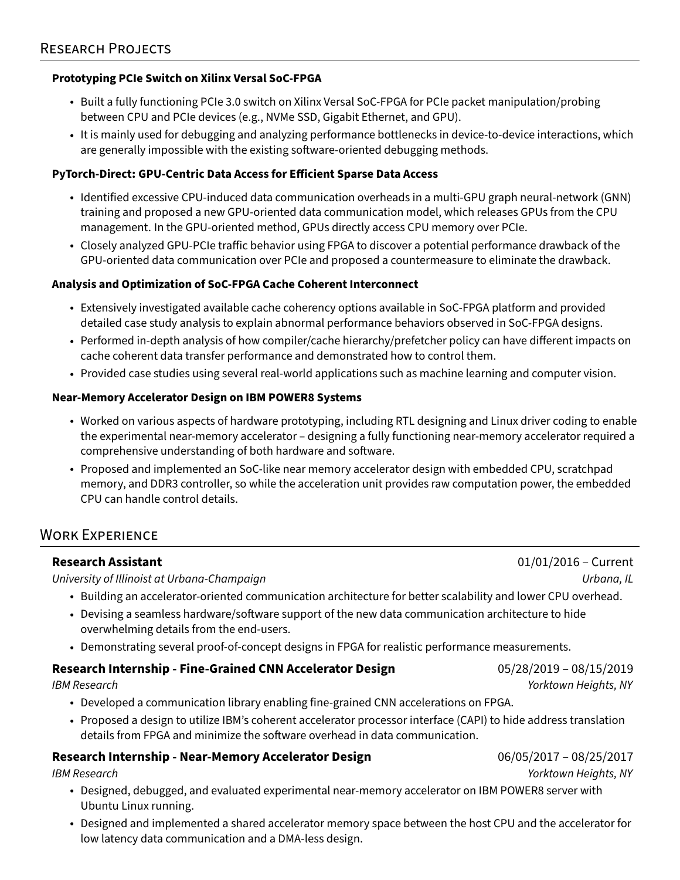#### **Prototyping PCIe Switch on Xilinx Versal SoC-FPGA**

- Built a fully functioning PCIe 3.0 switch on Xilinx Versal SoC-FPGA for PCIe packet manipulation/probing between CPU and PCIe devices (e.g., NVMe SSD, Gigabit Ethernet, and GPU).
- It is mainly used for debugging and analyzing performance bottlenecks in device-to-device interactions, which are generally impossible with the existing software-oriented debugging methods.

#### **PyTorch-Direct: GPU-Centric Data Access for Efficient Sparse Data Access**

- Identified excessive CPU-induced data communication overheads in a multi-GPU graph neural-network (GNN) training and proposed a new GPU-oriented data communication model, which releases GPUs from the CPU management. In the GPU-oriented method, GPUs directly access CPU memory over PCIe.
- Closely analyzed GPU-PCIe traffic behavior using FPGA to discover a potential performance drawback of the GPU-oriented data communication over PCIe and proposed a countermeasure to eliminate the drawback.

#### **Analysis and Optimization of SoC-FPGA Cache Coherent Interconnect**

- Extensively investigated available cache coherency options available in SoC-FPGA platform and provided detailed case study analysis to explain abnormal performance behaviors observed in SoC-FPGA designs.
- Performed in-depth analysis of how compiler/cache hierarchy/prefetcher policy can have different impacts on cache coherent data transfer performance and demonstrated how to control them.
- Provided case studies using several real-world applications such as machine learning and computer vision.

#### **Near-Memory Accelerator Design on IBM POWER8 Systems**

- Worked on various aspects of hardware prototyping, including RTL designing and Linux driver coding to enable the experimental near-memory accelerator – designing a fully functioning near-memory accelerator required a comprehensive understanding of both hardware and software.
- Proposed and implemented an SoC-like near memory accelerator design with embedded CPU, scratchpad memory, and DDR3 controller, so while the acceleration unit provides raw computation power, the embedded CPU can handle control details.

### WORK EXPERIENCE

University of Illinoist at Urbana-Champaign Urbana, IL

- Building an accelerator-oriented communication architecture for better scalability and lower CPU overhead.
- Devising a seamless hardware/software support of the new data communication architecture to hide overwhelming details from the end-users.
- Demonstrating several proof-of-concept designs in FPGA for realistic performance measurements.

#### **Research Internship - Fine-Grained CNN Accelerator Design** 05/28/2019 – 08/15/2019

IBM Research Yorktown Heights, NY

- Developed a communication library enabling fine-grained CNN accelerations on FPGA.
- Proposed a design to utilize IBM's coherent accelerator processor interface (CAPI) to hide address translation details from FPGA and minimize the software overhead in data communication.

#### **Research Internship - Near-Memory Accelerator Design** 06/05/2017 – 08/25/2017

- Designed, debugged, and evaluated experimental near-memory accelerator on IBM POWER8 server with Ubuntu Linux running.
- Designed and implemented a shared accelerator memory space between the host CPU and the accelerator for low latency data communication and a DMA-less design.

**Research Assistant** 01/01/2016 – Current

IBM Research Yorktown Heights, NY